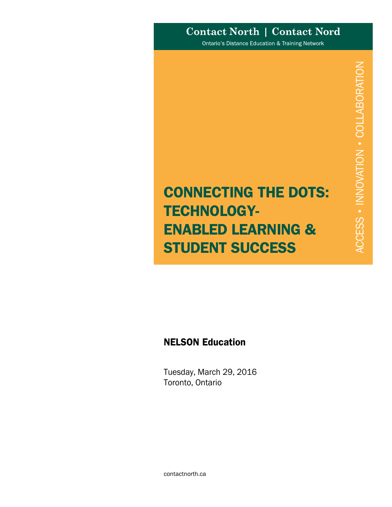# **Contact North | Contact Nord**

Ontario's Distance Education & Training Network

# CONNECTING THE DOTS: TECHNOLOGY-ENABLED LEARNING & STUDENT SUCCESS

# NELSON Education

Tuesday, March 29, 2016 Toronto, Ontario

contactnorth.ca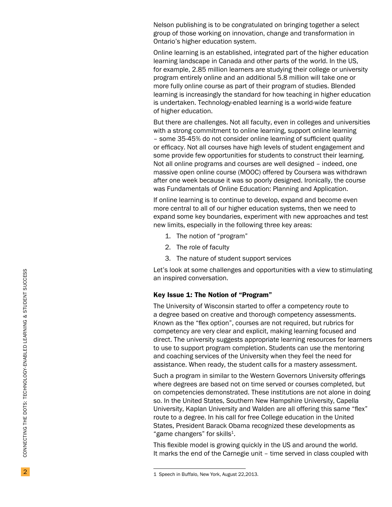Nelson publishing is to be congratulated on bringing together a select group of those working on innovation, change and transformation in Ontario's higher education system.

Online learning is an established, integrated part of the higher education learning landscape in Canada and other parts of the world. In the US, for example, 2.85 million learners are studying their college or university program entirely online and an additional 5.8 million will take one or more fully online course as part of their program of studies. Blended learning is increasingly the standard for how teaching in higher education is undertaken. Technology-enabled learning is a world-wide feature of higher education.

But there are challenges. Not all faculty, even in colleges and universities with a strong commitment to online learning, support online learning – some 35-45% do not consider online learning of sufficient quality or efficacy. Not all courses have high levels of student engagement and some provide few opportunities for students to construct their learning. Not all online programs and courses are well designed – indeed, one massive open online course (MOOC) offered by Coursera was withdrawn after one week because it was so poorly designed. Ironically, the course was Fundamentals of Online Education: Planning and Application.

If online learning is to continue to develop, expand and become even more central to all of our higher education systems, then we need to expand some key boundaries, experiment with new approaches and test new limits, especially in the following three key areas:

- 1. The notion of "program"
- 2. The role of faculty
- 3. The nature of student support services

Let's look at some challenges and opportunities with a view to stimulating an inspired conversation.

#### Key Issue 1: The Notion of "Program"

The University of Wisconsin started to offer a competency route to a degree based on creative and thorough competency assessments. Known as the "flex option", courses are not required, but rubrics for competency are very clear and explicit, making learning focused and direct. The university suggests appropriate learning resources for learners to use to support program completion. Students can use the mentoring and coaching services of the University when they feel the need for assistance. When ready, the student calls for a mastery assessment.

Such a program in similar to the Western Governors University offerings where degrees are based not on time served or courses completed, but on competencies demonstrated. These institutions are not alone in doing so. In the United States, Southern New Hampshire University, Capella University, Kaplan University and Walden are all offering this same "flex" route to a degree. In his call for free College education in the United States, President Barack Obama recognized these developments as "game changers" for skills<sup>1</sup>.

This flexible model is growing quickly in the US and around the world. It marks the end of the Carnegie unit – time served in class coupled with

<sup>1</sup> Speech in Buffalo, New York, August 22,2013.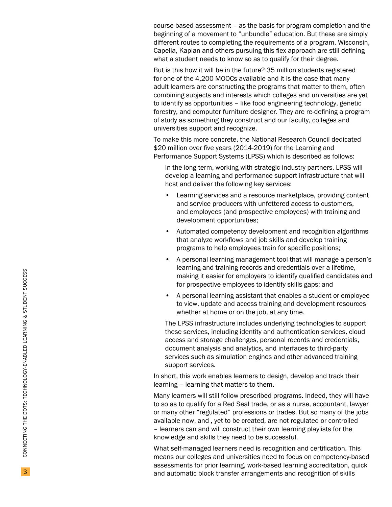course-based assessment – as the basis for program completion and the beginning of a movement to "unbundle" education. But these are simply different routes to completing the requirements of a program. Wisconsin, Capella, Kaplan and others pursuing this flex approach are still defining what a student needs to know so as to qualify for their degree.

But is this how it will be in the future? 35 million students registered for one of the 4,200 MOOCs available and it is the case that many adult learners are constructing the programs that matter to them, often combining subjects and interests which colleges and universities are yet to identify as opportunities – like food engineering technology, genetic forestry, and computer furniture designer. They are re-defining a program of study as something they construct and our faculty, colleges and universities support and recognize.

To make this more concrete, the National Research Council dedicated \$20 million over five years (2014-2019) for the Learning and Performance Support Systems (LPSS) which is described as follows:

In the long term, working with strategic industry partners, LPSS will develop a learning and performance support infrastructure that will host and deliver the following key services:

- Learning services and a resource marketplace, providing content and service producers with unfettered access to customers, and employees (and prospective employees) with training and development opportunities;
- Automated competency development and recognition algorithms that analyze workflows and job skills and develop training programs to help employees train for specific positions;
- A personal learning management tool that will manage a person's learning and training records and credentials over a lifetime, making it easier for employers to identify qualified candidates and for prospective employees to identify skills gaps; and
- A personal learning assistant that enables a student or employee to view, update and access training and development resources whether at home or on the job, at any time.

The LPSS infrastructure includes underlying technologies to support these services, including identity and authentication services, cloud access and storage challenges, personal records and credentials, document analysis and analytics, and interfaces to third-party services such as simulation engines and other advanced training support services.

In short, this work enables learners to design, develop and track their learning – learning that matters to them.

Many learners will still follow prescribed programs. Indeed, they will have to so as to qualify for a Red Seal trade, or as a nurse, accountant, lawyer or many other "regulated" professions or trades. But so many of the jobs available now, and , yet to be created, are not regulated or controlled – learners can and will construct their own learning playlists for the knowledge and skills they need to be successful.

What self-managed learners need is recognition and certification. This means our colleges and universities need to focus on competency-based assessments for prior learning, work-based learning accreditation, quick and automatic block transfer arrangements and recognition of skills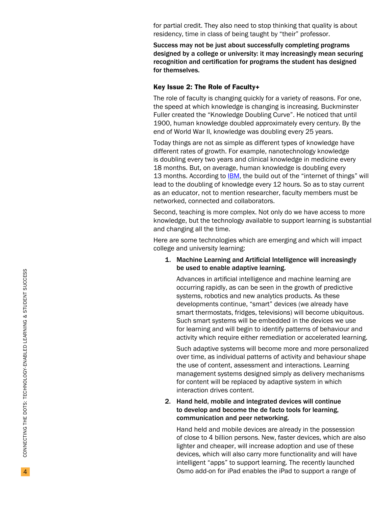for partial credit. They also need to stop thinking that quality is about residency, time in class of being taught by "their" professor.

Success may not be just about successfully completing programs designed by a college or university: it may increasingly mean securing recognition and certification for programs the student has designed for themselves.

#### Key Issue 2: The Role of Faculty +

The role of faculty is changing quickly for a variety of reasons. For one, the speed at which knowledge is changing is increasing. Buckminster Fuller created the "Knowledge Doubling Curve". He noticed that until 1900, human knowledge doubled approximately every century. By the end of World War II, knowledge was doubling every 25 years.

Today things are not as simple as different types of knowledge have different rates of growth. For example, nanotechnology knowledge is doubling every two years and clinical knowledge in medicine every<br>18 months. But, on aver[age,](http://www-935.ibm.com/services/no/cio/leverage/levinfo_wp_gts_thetoxic.pdf) human knowledge is doubling every<br>13 months. According to IBM, the build out of the "internet of things" will lead to the doubling of knowledge every 12 hours. So as to stay current as an educator, not to mention researcher, faculty members must be networked, connected and collaborators.

Second, teaching is more complex. Not only do we have access to more knowledge, but the technology available to support learning is substantial and changing all the time.

Here are some technologies which are emerging and which will impact college and university learning:

# 1. Machine Learning and Artificial Intelligence will increasingly be used to enable adaptive learning.

Advances in artificial intelligence and machine learning are occurring rapidly, as can be seen in the growth of predictive systems, robotics and new analytics products. As these developments continue, "smart" devices (we already have smart thermostats, fridges, televisions) will become ubiquitous. Such smart systems will be embedded in the devices we use for learning and will begin to identify patterns of behaviour and activity which require either remediation or accelerated learning.

Such adaptive systems will become more and more personalized over time, as individual patterns of activity and behaviour shape the use of content, assessment and interactions. Learning management systems designed simply as delivery mechanisms for content will be replaced by adaptive system in which interaction drives content.

# 2. Hand held, mobile and integrated devices will continue to develop and become the de facto tools for learning, communication and peer networking.

Hand held and mobile devices are already in the possession of close to 4 billion persons. New, faster devices, which are also lighter and cheaper, will increase adoption and use of these devices, which will also carry more functionality and will have intelligent "apps" to support learning. The recently launched Osmo add-on for iPad enables the iPad to support a range of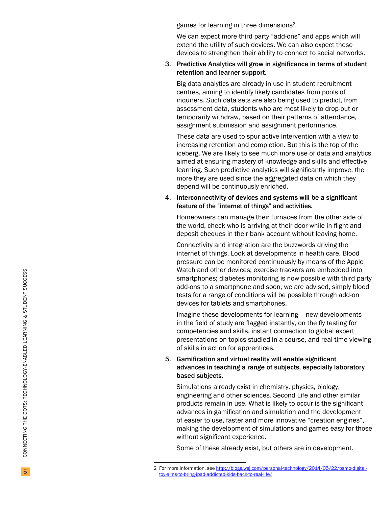games for learning in three dimensions 2.

We can expect more third party "add-ons" and apps which will extend the utility of such devices. We can also expect these devices to strengthen their ability to connect to social networks.

## 3. Predictive Analytics will grow in significance in terms of student retention and learner support.

Big data analytics are already in use in student recruitment centres, aiming to identify likely candidates from pools of inquirers. Such data sets are also being used to predict, from assessment data, students who are most likely to drop-out or temporarily withdraw, based on their patterns of attendance, assignment submission and assignment performance.

These data are used to spur active intervention with a view to increasing retention and completion. But this is the top of the iceberg. We are likely to see much more use of data and analytics aimed at ensuring mastery of knowledge and skills and effective learning. Such predictive analytics will significantly improve, the more they are used since the aggregated data on which they depend will be continuously enriched.

### 4. Interconnectivity of devices and systems will be a significant feature of the "internet of things" and activities.

Homeowners can manage their furnaces from the other side of the world, check who is arriving at their door while in flight and deposit cheques in their bank account without leaving home.

Connectivity and integration are the buzzwords driving the internet of things. Look at developments in health care. Blood pressure can be monitored continuously by means of the Apple Watch and other devices; exercise trackers are embedded into smartphones; diabetes monitoring is now possible with third party add-ons to a smartphone and soon, we are advised, simply blood tests for a range of conditions will be possible through add-on devices for tablets and smartphones.

Imagine these developments for learning – new developments in the field of study are flagged instantly, on the fly testing for competencies and skills, instant connection to global expert presentations on topics studied in a course, and real-time viewing of skills in action for apprentices.

# 5. Gamification and virtual reality will enable significant advances in teaching a range of subjects, especially laboratory based subjects.

Simulations already exist in chemistry, physics, biology, engineering and other sciences. Second Life and other similar products remain in use. What is likely to occur is the significant advances in gamification and simulation and the development of easier to use, faster and more innovative "creation engines", making the development of simulations and games easy for those without significant experience.

Some of these already exist, but others are in development.

<sup>2</sup> For more information, see [http://blogs.wsj.com/personal-technology/2014/05/22/osmo-digital](http://blogs.wsj.com/personal-technology/2014/05/22/osmo-digital-toy-aims-to-bring-ipad-addicted-kids-back-to-real-life/)[toy-aims-to-bring-ipad-addicted-kids-back-to-real-life/](http://blogs.wsj.com/personal-technology/2014/05/22/osmo-digital-toy-aims-to-bring-ipad-addicted-kids-back-to-real-life/)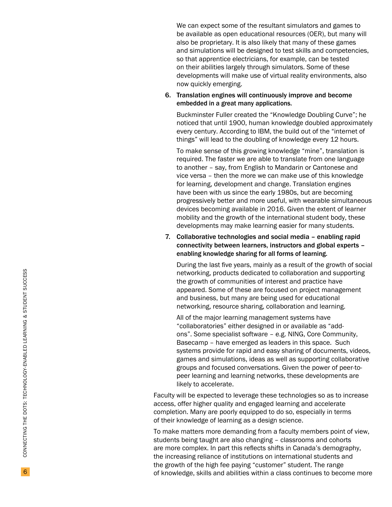We can expect some of the resultant simulators and games to be available as open educational resources (OER), but many will also be proprietary. It is also likely that many of these games and simulations will be designed to test skills and competencies, so that apprentice electricians, for example, can be tested on their abilities largely through simulators. Some of these developments will make use of virtual reality environments, also now quickly emerging.

# 6. Translation engines will continuously improve and become embedded in a great many applications.

Buckminster Fuller created the "Knowledge Doubling Curve"; he noticed that until 1900, human knowledge doubled approximately every century. According to IBM, the build out of the "internet of things" will lead to the doubling of knowledge every 12 hours.

To make sense of this growing knowledge "mine", translation is required. The faster we are able to translate from one language to another – say, from English to Mandarin or Cantonese and vice versa – then the more we can make use of this knowledge for learning, development and change. Translation engines have been with us since the early 1980s, but are becoming progressively better and more useful, with wearable simultaneous devices becoming available in 2016. Given the extent of learner mobility and the growth of the international student body, these developments may make learning easier for many students.

7. Collaborative technologies and social media – enabling rapid connectivity between learners, instructors and global experts – enabling knowledge sharing for all forms of learning.

During the last five years, mainly as a result of the growth of social networking, products dedicated to collaboration and supporting the growth of communities of interest and practice have appeared. Some of these are focused on project management and business, but many are being used for educational networking, resource sharing, collaboration and learning.

All of the major learning management systems have "collaboratories" either designed in or available as "addons". Some specialist software – e.g. NING, Core Community, Basecamp – have emerged as leaders in this space. Such systems provide for rapid and easy sharing of documents, videos, games and simulations, ideas as well as supporting collaborative groups and focused conversations. Given the power of peer-topeer learning and learning networks, these developments are likely to accelerate.

Faculty will be expected to leverage these technologies so as to increase access, offer higher quality and engaged learning and accelerate completion. Many are poorly equipped to do so, especially in terms of their knowledge of learning as a design science.

To make matters more demanding from a faculty members point of view, students being taught are also changing – classrooms and cohorts are more complex. In part this reflects shifts in Canada's demography, the increasing reliance of institutions on international students and the growth of the high fee paying "customer" student. The range of knowledge, skills and abilities within a class continues to become more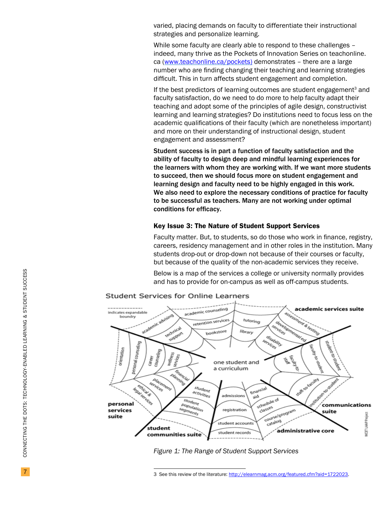varied, placing demands on faculty to differentiate their instructional strategies and personalize learning.

While some faculty are clearly able to respond to these challenges indeed, many thrive as the Pockets of Innovation Series on teachonline. ca ([www.teachonline.ca/pockets](http://www.teachonline.ca/pockets)) demonstrates – there are a large number who are finding changing their teaching and learning strategies difficult. This in turn affects student engagement and completion.

If the best predictors of learning outcomes are student engagement<sup>3</sup> and faculty satisfaction, do we need to do more to help faculty adapt their teaching and adopt some of the principles of agile design, constructivist learning and learning strategies? Do institutions need to focus less on the academic qualifications of their faculty (which are nonetheless important) and more on their understanding of instructional design, student engagement and assessment?

Student success is in part a function of faculty satisfaction and the ability of faculty to design deep and mindful learning experiences for the learners with whom they are working with. If we want more students to succeed, then we should focus more on student engagement and learning design and faculty need to be highly engaged in this work. We also need to explore the necessary conditions of practice for faculty to be successful as teachers. Many are not working under optimal conditions for efficacy.

# Key Issue 3: The Nature of Student Support Services

Faculty matter. But, to students, so do those who work in finance, registry, careers, residency management and in other roles in the institution. Many students drop-out or drop-down not because of their courses or faculty, but because of the quality of the non-academic services they receive.

Below is a map of the services a college or university normally provides and has to provide for on-campus as well as off-campus students.



*Figure 1: The Range of Student Support Services*

<sup>3</sup> See this review of the literature: [http://elearnmag.acm.org/featured.cfm?aid=1722023.](http://elearnmag.acm.org/featured.cfm?aid=1722023)